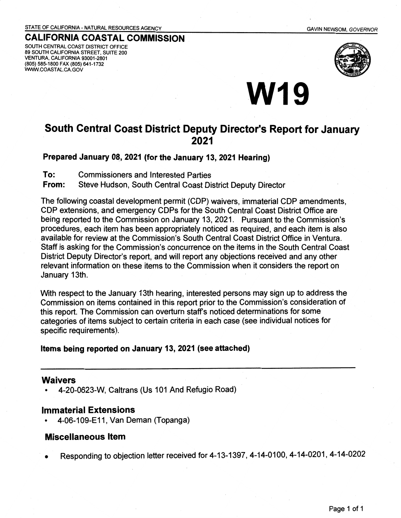STATE OF CALIFORNIA- NATURAL RESOURCES AGENCY

**CALIFORNIA COASTAL COMMISSION** 

SOUTH CENTRAL COAST DISTRICT OFFICE 89 SOUTH CALIFORNIA STREET, SUITE 200 VENTURA, CALIFORNIA 93001-2801 (805) 585-1800 FAX (805) 641-1732 ~.COASTAL.CA.GOV



# W19

#### GAVIN NEWSOM, GOVERNOR

## **South Central Coast District Deputy Director's Report for January 2021**

## Prepared January 08, 2021 (for the January 13, 2021 Hearing)

To: Commissioners and Interested Parties

**From:** Steve Hudson, South Central Coast District Deputy Director

The following coastal development permit (CDP) waivers, immaterial CDP amendments, CDP extensions, and emergency CDPs for the South Central Coast District Office are being reported to the Commission on January 13, 2021. Pursuant to the Commission's procedures, each item has been appropriately noticed as required, and each item is also available for review at the Commission's South Central Coast District Office in Ventura. Staff is asking for the Commission's concurrence on the items in the South Central Coast District Deputy Director's report, and will report any objections received and any other relevant information on these items to the Commission when it considers the report on January 13th.

With respect to the January 13th hearing, interested persons may sign up to address the Commission on items contained in this report prior to the Commission's consideration of this report. The Commission can overturn staff's noticed determinations for some categories of items subject to certain criteria in each case (see individual notices for specific requirements).

**Items being reported on January 13, 2021 (see attached)** 

## **Waivers**

• 4-20-0623-W, Caltrans (Us 101.And Refugio Road)

## **Immaterial Extensions**

• 4-06-109-E11, Van Deman (Topanga)

## **Miscellaneous Item**

• Responding to objection letter received for4-13-1397, 4-14-0100, 4-14-0201, 4-14-0202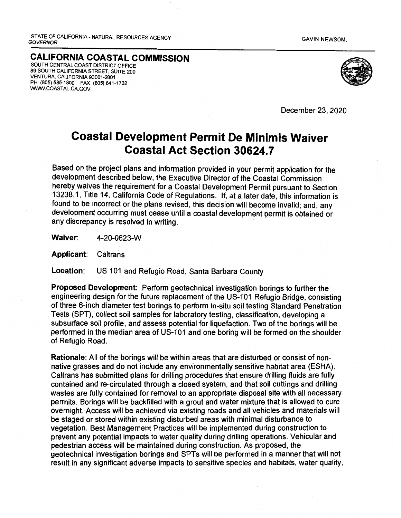STATE OF CALIFORNIA- NATURAL RESOURCES AGENCY **GOVERNOR** 

GAVIN NEWSOM,

**CALIFORNIA COASTAL COMMISSION**  SOUTH CENTRAL COAST DISTRICT OFFICE 89 SOUTH CALIFORNIA STREET, SUITE 200 VENTURA, CALIFORNIA 93001-2801 PH (805) 585-1800 FAX (805) 641-1732 WWW.COASTAL.CA.GOV



December 23, 2020

### **Coastal Development Permit De Minimis Waiver Coastal Act Section 30624.7**

Based on the project plans and information provided in your permit application for the development described below, the Executive Director of the Coastal Commission hereby waives the requirement for a Coastal Development Permit pursuant to Section 13238.1, Title 14, California Code of Regulations. If, at a later date, this information is found to be incorrect or the plans revised, this decision will become invalid; and, any development occurring must cease until a coastal development permit is obtained or any discrepancy is resolved in writing.

**Waiver:** 4-20-0623-W

**Applicant:** Caltrans

**Location:** US 101 and Refugio Road, Santa Barbara County

**Proposed Development:** Perform geotechnical investigation borings to further the engineering design for the future replacement of the US-101 Refugio Bridge, consisting of three 6-inch diameter test borings to perform in-situ soil testing Standard Penetration Tests {SPT), collect soil samples for laboratory testing, classification, developing a subsurface soil profile, and assess potential for liquefaction. Two of the borings will be performed in the median area of US-101 and one boring will be formed on the shoulder of Refugio Road.

**Rationale:** All of the borings will be within areas that are disturbed or consist of nonnative grasses and do not include any environmentally sensitive habitat area {ESHA). Caltrans has submitted plans for drilling procedures that ensure drilling fluids are fully contained and re-circulated through a closed system, and that soil cuttings and drilling wastes are fully contained for removal to an appropriate disposal site with all necessary permits. Borings will be backfilled with a grout and water mixture that is allowed to cure overnight. Access will be achieved via existing roads and all vehicles and materials will be staged or stored within existing disturbed areas with minimal disturbance to vegetation. Best Management Practices will be implemented during construction to prevent any potential impacts to water quality during drilling operations. Vehicular and pedestrian access will be maintained during construction. As proposed, the geotechnical investigation borings and SPTs will be performed in a manner that will not result in any significant adverse impacts to sensitive species and habitats, water quality,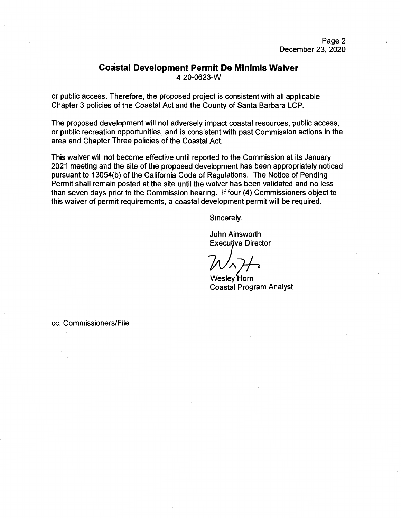#### **Coastal Development Permit De Minimis Waiver**  4-20-0623-W

or public access. Therefore, the proposed project is consistent with all applicable Chapter 3 policies of the Coastal Act and the County of Santa Barbara LCP.

The proposed development will not adversely impact coastal resources, public access, or public recreation opportunities, and is consistent with past Commission actions in the area and Chapter Three policies of the Coastal Act.

This waiver will not become effective until reported to the Commission at its January 2021 meeting and the site of the proposed development has been appropriately noticed, pursuant to 13054(b) of the California Code of Regulations. The Notice of Pending Permit shall remain posted at the site until the waiver has been validated and no less than seven days prior to the Commission hearing. If four (4) Commissioners object to this waiver of permit requirements, a coastal development permit will be required.

Sincerely,

John Ainsworth **Executive Director** 

Wesley Horn Coastal Program Analyst

cc: Commissioners/File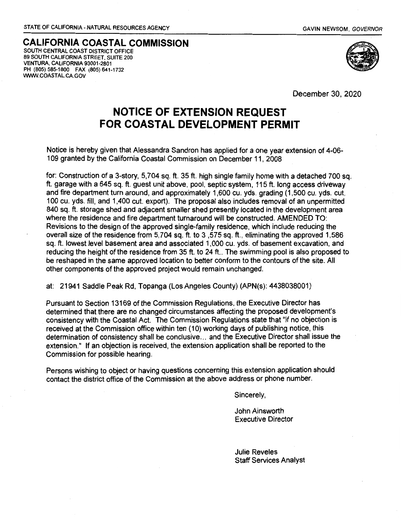**CALIFORNIA COASTAL COMMISSION**  SOUTH CENTRAL COAST DISTRICT OFFICE 89 SOUTH CALIFORNIA STREET, SUITE 200 VENTURA, CALIFORNIA 93001-2801 PH (805) 585-1800 FAX (805) 641-1732 WWW.COASTAL.CA.GOV



December 30, 2020

#### **NOTICE OF EXTENSION REQUEST FOR COASTAL DEVELOPMENT PERMIT**

Notice is hereby given that Alessandra Sandron has applied for a one year extension of 4-06- 109 granted by the California Coastal Commission on December 11, 2008

for: Construction of a 3-story, 5,704 sq. ft. 35 ft. high single family home with a detached 700 sq. ft. garage with a 645 sq. ft. guest unit above, pool, septic system, 115 ft. long access driveway and fire department turn around, and approximately 1,600 cu. yds. grading (1,500 cu. yds. cut, 100 cu. yds. fill, and 1,400 cut. export). The proposal also includes removal of an unpermitted 840 sq. ft. storage shed and adjacent smaller shed presently located in the development area where the residence and fire department turnaround will be constructed. AMENDED TO: Revisions to the design of the approved single-family residence, which include reducing the overall size of the residence from 5,704 sq. ft. to 3,575 sq. ft., eliminating the approved 1,586 sq. ft. lowest level basement area and associated 1,000 cu. yds. of basement excavation, and reducing the height of the residence from 35 ft. to 24 ft.. The swimming pool is also proposed to be reshaped in the same approved location to better conform to the contours of the site. All other components of the approved project would remain unchanged.

at: 21941 Saddle Peak Rd, Topanga (Los Angeles County) (APN(s): 4438038001)

Pursuant to Section 13169 of the Commission Regulations, the Executive Director has determined that there are no changed circumstances affecting the proposed development's consistency with the Coastal Act. The Commission Regulations state that "if no objection is received at the Commission office within ten (10) working days of publishing notice, this determination of consistency shall be conclusive... and the Executive Director shall issue the extension." If an objection is received, the extension application shall be reported to the Commission for possible hearing.

Persons wishing to object or having questions concerning this extension application should contact the district office of the Commission at the above address or phone number.

Sincerely,

John Ainsworth Executive Director

Julie Reveles Staff Services Analyst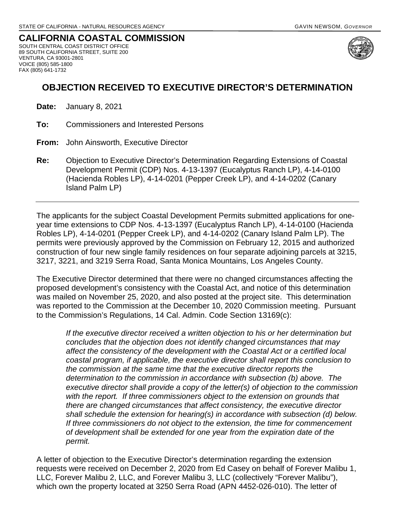**CALIFORNIA COASTAL COMMISSION** SOUTH CENTRAL COAST DISTRICT OFFICE 89 SOUTH CALIFORNIA STREET, SUITE 200 VENTURA, CA 93001-2801 VOICE (805) 585-1800 FAX (805) 641-1732



#### **OBJECTION RECEIVED TO EXECUTIVE DIRECTOR'S DETERMINATION**

| <b>January 8, 2021</b><br>Date: |  |
|---------------------------------|--|
|---------------------------------|--|

**To:** Commissioners and Interested Persons

**From:** John Ainsworth, Executive Director

**Re:** Objection to Executive Director's Determination Regarding Extensions of Coastal Development Permit (CDP) Nos. 4-13-1397 (Eucalyptus Ranch LP), 4-14-0100 (Hacienda Robles LP), 4-14-0201 (Pepper Creek LP), and 4-14-0202 (Canary Island Palm LP)

The applicants for the subject Coastal Development Permits submitted applications for oneyear time extensions to CDP Nos. 4-13-1397 (Eucalyptus Ranch LP), 4-14-0100 (Hacienda Robles LP), 4-14-0201 (Pepper Creek LP), and 4-14-0202 (Canary Island Palm LP). The permits were previously approved by the Commission on February 12, 2015 and authorized construction of four new single family residences on four separate adjoining parcels at 3215, 3217, 3221, and 3219 Serra Road, Santa Monica Mountains, Los Angeles County.

The Executive Director determined that there were no changed circumstances affecting the proposed development's consistency with the Coastal Act, and notice of this determination was mailed on November 25, 2020, and also posted at the project site. This determination was reported to the Commission at the December 10, 2020 Commission meeting. Pursuant to the Commission's Regulations, 14 Cal. Admin. Code Section 13169(c):

*If the executive director received a written objection to his or her determination but concludes that the objection does not identify changed circumstances that may affect the consistency of the development with the Coastal Act or a certified local coastal program, if applicable, the executive director shall report this conclusion to the commission at the same time that the executive director reports the determination to the commission in accordance with subsection (b) above. The executive director shall provide a copy of the letter(s) of objection to the commission with the report. If three commissioners object to the extension on grounds that there are changed circumstances that affect consistency, the executive director shall schedule the extension for hearing(s) in accordance with subsection (d) below. If three commissioners do not object to the extension, the time for commencement of development shall be extended for one year from the expiration date of the permit.*

A letter of objection to the Executive Director's determination regarding the extension requests were received on December 2, 2020 from Ed Casey on behalf of Forever Malibu 1, LLC, Forever Malibu 2, LLC, and Forever Malibu 3, LLC (collectively "Forever Malibu"), which own the property located at 3250 Serra Road (APN 4452-026-010). The letter of